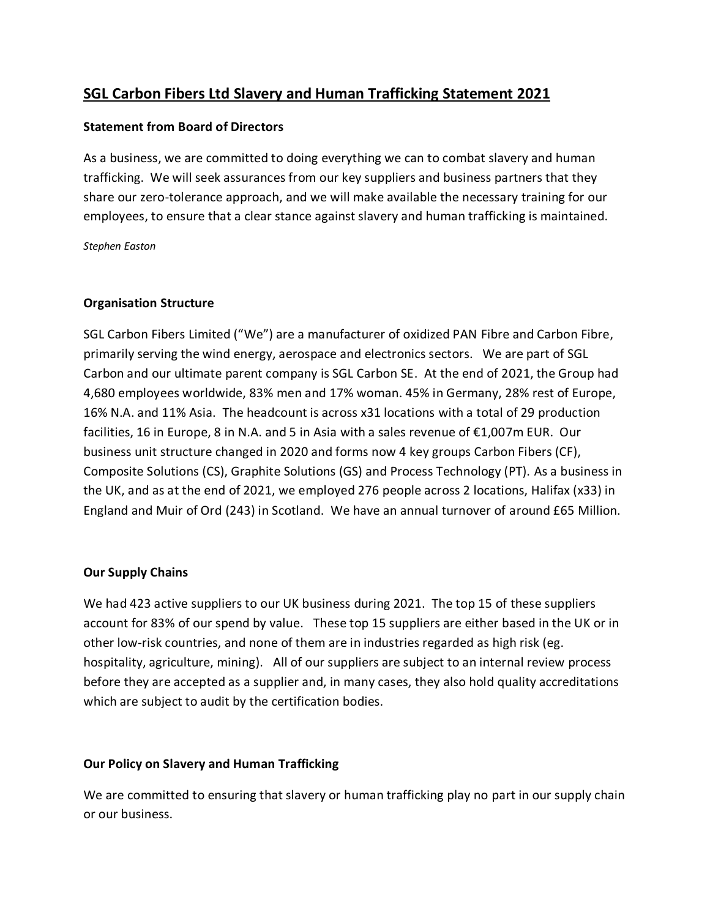# **SGL Carbon Fibers Ltd Slavery and Human Trafficking Statement 2021**

## **Statement from Board of Directors**

As a business, we are committed to doing everything we can to combat slavery and human trafficking. We will seek assurances from our key suppliers and business partners that they share our zero-tolerance approach, and we will make available the necessary training for our employees, to ensure that a clear stance against slavery and human trafficking is maintained.

*Stephen Easton*

#### **Organisation Structure**

SGL Carbon Fibers Limited ("We") are a manufacturer of oxidized PAN Fibre and Carbon Fibre, primarily serving the wind energy, aerospace and electronics sectors. We are part of SGL Carbon and our ultimate parent company is SGL Carbon SE. At the end of 2021, the Group had 4,680 employees worldwide, 83% men and 17% woman. 45% in Germany, 28% rest of Europe, 16% N.A. and 11% Asia. The headcount is across x31 locations with a total of 29 production facilities, 16 in Europe, 8 in N.A. and 5 in Asia with a sales revenue of  $\epsilon$ 1,007m EUR. Our business unit structure changed in 2020 and forms now 4 key groups Carbon Fibers (CF), Composite Solutions (CS), Graphite Solutions (GS) and Process Technology (PT). As a business in the UK, and as at the end of 2021, we employed 276 people across 2 locations, Halifax (x33) in England and Muir of Ord (243) in Scotland. We have an annual turnover of around £65 Million.

#### **Our Supply Chains**

We had 423 active suppliers to our UK business during 2021. The top 15 of these suppliers account for 83% of our spend by value. These top 15 suppliers are either based in the UK or in other low-risk countries, and none of them are in industries regarded as high risk (eg. hospitality, agriculture, mining). All of our suppliers are subject to an internal review process before they are accepted as a supplier and, in many cases, they also hold quality accreditations which are subject to audit by the certification bodies.

#### **Our Policy on Slavery and Human Trafficking**

We are committed to ensuring that slavery or human trafficking play no part in our supply chain or our business.